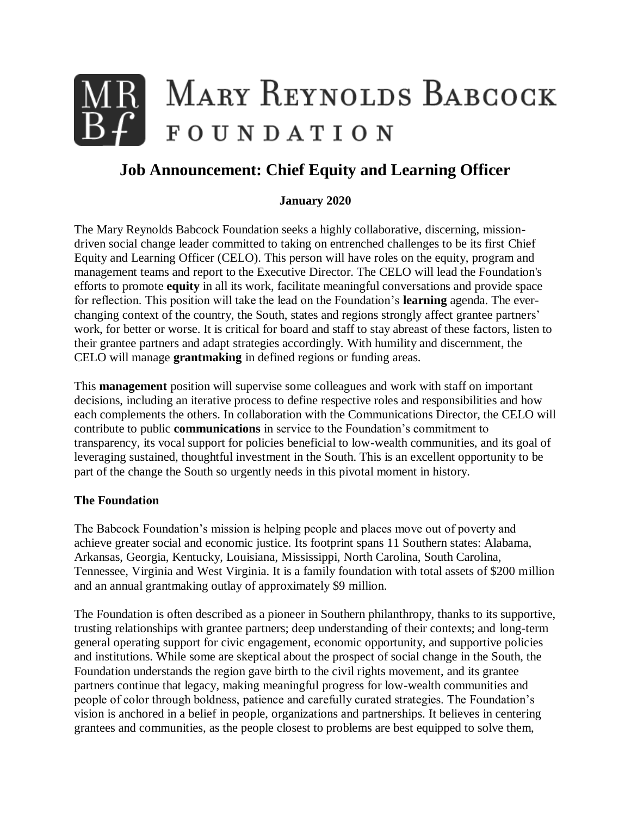# MARY REYNOLDS BABCOCK FOUNDATION

# **Job Announcement: Chief Equity and Learning Officer**

#### **January 2020**

The Mary Reynolds Babcock Foundation seeks a highly collaborative, discerning, missiondriven social change leader committed to taking on entrenched challenges to be its first Chief Equity and Learning Officer (CELO). This person will have roles on the equity, program and management teams and report to the Executive Director. The CELO will lead the Foundation's efforts to promote **equity** in all its work, facilitate meaningful conversations and provide space for reflection. This position will take the lead on the Foundation's **learning** agenda. The everchanging context of the country, the South, states and regions strongly affect grantee partners' work, for better or worse. It is critical for board and staff to stay abreast of these factors, listen to their grantee partners and adapt strategies accordingly. With humility and discernment, the CELO will manage **grantmaking** in defined regions or funding areas.

This **management** position will supervise some colleagues and work with staff on important decisions, including an iterative process to define respective roles and responsibilities and how each complements the others. In collaboration with the Communications Director, the CELO will contribute to public **communications** in service to the Foundation's commitment to transparency, its vocal support for policies beneficial to low-wealth communities, and its goal of leveraging sustained, thoughtful investment in the South. This is an excellent opportunity to be part of the change the South so urgently needs in this pivotal moment in history.

#### **The Foundation**

The Babcock Foundation's mission is helping people and places move out of poverty and achieve greater social and economic justice. Its footprint spans 11 Southern states: Alabama, Arkansas, Georgia, Kentucky, Louisiana, Mississippi, North Carolina, South Carolina, Tennessee, Virginia and West Virginia. It is a family foundation with total assets of \$200 million and an annual grantmaking outlay of approximately \$9 million.

The Foundation is often described as a pioneer in Southern philanthropy, thanks to its supportive, trusting relationships with grantee partners; deep understanding of their contexts; and long-term general operating support for civic engagement, economic opportunity, and supportive policies and institutions. While some are skeptical about the prospect of social change in the South, the Foundation understands the region gave birth to the civil rights movement, and its grantee partners continue that legacy, making meaningful progress for low-wealth communities and people of color through boldness, patience and carefully curated strategies. The Foundation's vision is anchored in a belief in people, organizations and partnerships. It believes in centering grantees and communities, as the people closest to problems are best equipped to solve them,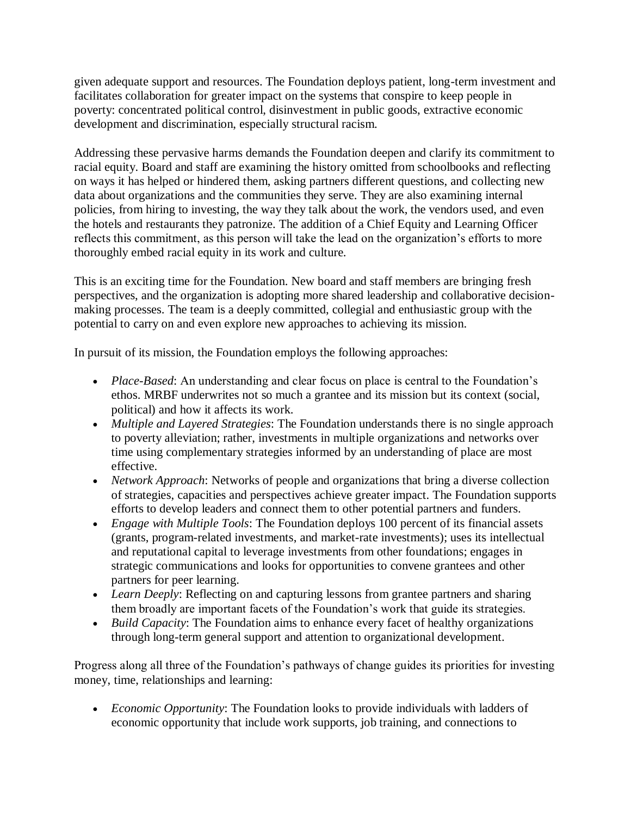given adequate support and resources. The Foundation deploys patient, long-term investment and facilitates collaboration for greater impact on the systems that conspire to keep people in poverty: concentrated political control, disinvestment in public goods, extractive economic development and discrimination, especially structural racism.

Addressing these pervasive harms demands the Foundation deepen and clarify its commitment to racial equity. Board and staff are examining the history omitted from schoolbooks and reflecting on ways it has helped or hindered them, asking partners different questions, and collecting new data about organizations and the communities they serve. They are also examining internal policies, from hiring to investing, the way they talk about the work, the vendors used, and even the hotels and restaurants they patronize. The addition of a Chief Equity and Learning Officer reflects this commitment, as this person will take the lead on the organization's efforts to more thoroughly embed racial equity in its work and culture.

This is an exciting time for the Foundation. New board and staff members are bringing fresh perspectives, and the organization is adopting more shared leadership and collaborative decisionmaking processes. The team is a deeply committed, collegial and enthusiastic group with the potential to carry on and even explore new approaches to achieving its mission.

In pursuit of its mission, the Foundation employs the following approaches:

- *Place-Based*: An understanding and clear focus on place is central to the Foundation's ethos. MRBF underwrites not so much a grantee and its mission but its context (social, political) and how it affects its work.
- *Multiple and Layered Strategies*: The Foundation understands there is no single approach to poverty alleviation; rather, investments in multiple organizations and networks over time using complementary strategies informed by an understanding of place are most effective.
- *Network Approach*: Networks of people and organizations that bring a diverse collection of strategies, capacities and perspectives achieve greater impact. The Foundation supports efforts to develop leaders and connect them to other potential partners and funders.
- *Engage with Multiple Tools*: The Foundation deploys 100 percent of its financial assets (grants, program-related investments, and market-rate investments); uses its intellectual and reputational capital to leverage investments from other foundations; engages in strategic communications and looks for opportunities to convene grantees and other partners for peer learning.
- *Learn Deeply:* Reflecting on and capturing lessons from grantee partners and sharing them broadly are important facets of the Foundation's work that guide its strategies.
- *Build Capacity*: The Foundation aims to enhance every facet of healthy organizations through long-term general support and attention to organizational development.

Progress along all three of the Foundation's pathways of change guides its priorities for investing money, time, relationships and learning:

• *Economic Opportunity*: The Foundation looks to provide individuals with ladders of economic opportunity that include work supports, job training, and connections to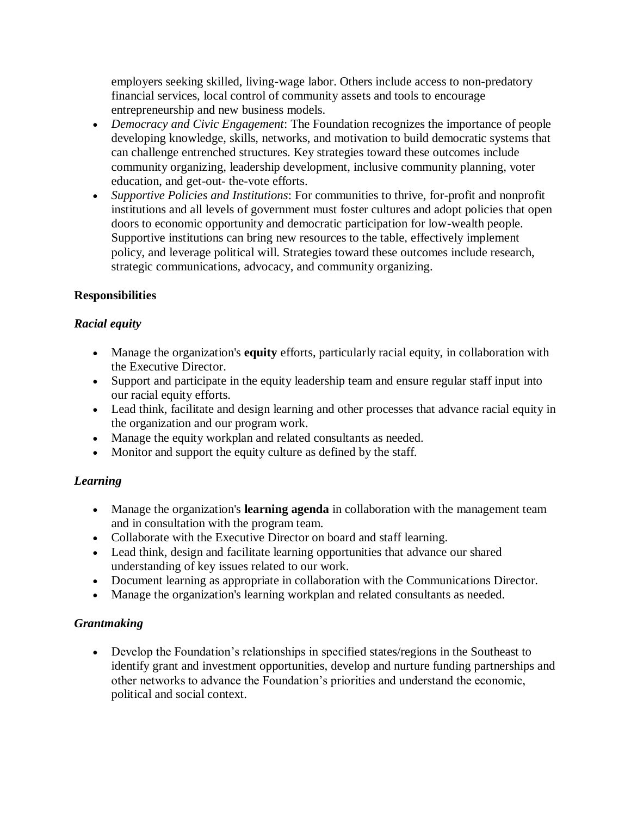employers seeking skilled, living-wage labor. Others include access to non-predatory financial services, local control of community assets and tools to encourage entrepreneurship and new business models.

- *Democracy and Civic Engagement*: The Foundation recognizes the importance of people developing knowledge, skills, networks, and motivation to build democratic systems that can challenge entrenched structures. Key strategies toward these outcomes include community organizing, leadership development, inclusive community planning, voter education, and get-out- the-vote efforts.
- *Supportive Policies and Institutions*: For communities to thrive, for-profit and nonprofit institutions and all levels of government must foster cultures and adopt policies that open doors to economic opportunity and democratic participation for low-wealth people. Supportive institutions can bring new resources to the table, effectively implement policy, and leverage political will. Strategies toward these outcomes include research, strategic communications, advocacy, and community organizing.

#### **Responsibilities**

#### *Racial equity*

- Manage the organization's **equity** efforts, particularly racial equity, in collaboration with the Executive Director.
- Support and participate in the equity leadership team and ensure regular staff input into our racial equity efforts.
- Lead think, facilitate and design learning and other processes that advance racial equity in the organization and our program work.
- Manage the equity workplan and related consultants as needed.
- Monitor and support the equity culture as defined by the staff.

#### *Learning*

- Manage the organization's **learning agenda** in collaboration with the management team and in consultation with the program team.
- Collaborate with the Executive Director on board and staff learning.
- Lead think, design and facilitate learning opportunities that advance our shared understanding of key issues related to our work.
- Document learning as appropriate in collaboration with the Communications Director.
- Manage the organization's learning workplan and related consultants as needed.

# *Grantmaking*

• Develop the Foundation's relationships in specified states/regions in the Southeast to identify grant and investment opportunities, develop and nurture funding partnerships and other networks to advance the Foundation's priorities and understand the economic, political and social context.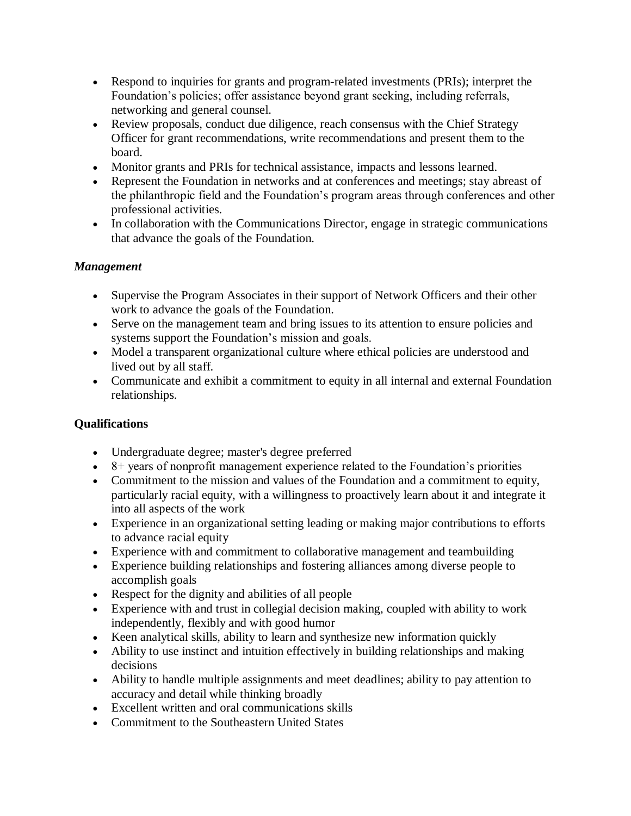- Respond to inquiries for grants and program-related investments (PRIs); interpret the Foundation's policies; offer assistance beyond grant seeking, including referrals, networking and general counsel.
- Review proposals, conduct due diligence, reach consensus with the Chief Strategy Officer for grant recommendations, write recommendations and present them to the board.
- Monitor grants and PRIs for technical assistance, impacts and lessons learned.
- Represent the Foundation in networks and at conferences and meetings; stay abreast of the philanthropic field and the Foundation's program areas through conferences and other professional activities.
- In collaboration with the Communications Director, engage in strategic communications that advance the goals of the Foundation.

# *Management*

- Supervise the Program Associates in their support of Network Officers and their other work to advance the goals of the Foundation.
- Serve on the management team and bring issues to its attention to ensure policies and systems support the Foundation's mission and goals.
- Model a transparent organizational culture where ethical policies are understood and lived out by all staff.
- Communicate and exhibit a commitment to equity in all internal and external Foundation relationships.

# **Qualifications**

- Undergraduate degree; master's degree preferred
- $\bullet$  8+ years of nonprofit management experience related to the Foundation's priorities
- Commitment to the mission and values of the Foundation and a commitment to equity, particularly racial equity, with a willingness to proactively learn about it and integrate it into all aspects of the work
- Experience in an organizational setting leading or making major contributions to efforts to advance racial equity
- Experience with and commitment to collaborative management and teambuilding
- Experience building relationships and fostering alliances among diverse people to accomplish goals
- Respect for the dignity and abilities of all people
- Experience with and trust in collegial decision making, coupled with ability to work independently, flexibly and with good humor
- Keen analytical skills, ability to learn and synthesize new information quickly
- Ability to use instinct and intuition effectively in building relationships and making decisions
- Ability to handle multiple assignments and meet deadlines; ability to pay attention to accuracy and detail while thinking broadly
- Excellent written and oral communications skills
- Commitment to the Southeastern United States